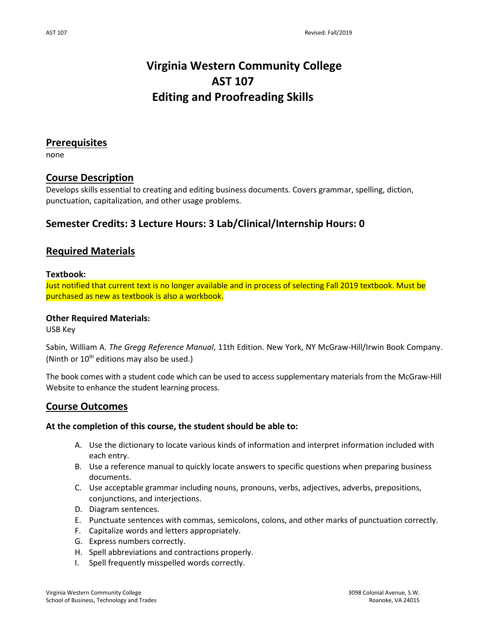# **Virginia Western Community College AST 107 Editing and Proofreading Skills**

## **Prerequisites**

none

## **Course Description**

Develops skills essential to creating and editing business documents. Covers grammar, spelling, diction, punctuation, capitalization, and other usage problems.

# **Semester Credits: 3 Lecture Hours: 3 Lab/Clinical/Internship Hours: 0**

## **Required Materials**

#### **Textbook:**

Just notified that current text is no longer available and in process of selecting Fall 2019 textbook. Must be purchased as new as textbook is also a workbook.

#### **Other Required Materials:**

USB Key

Sabin, William A. *The Gregg Reference Manual*, 11th Edition. New York, NY McGraw-Hill/Irwin Book Company. (Ninth or  $10^{th}$  editions may also be used.)

The book comes with a student code which can be used to access supplementary materials from the McGraw-Hill Website to enhance the student learning process.

## **Course Outcomes**

### **At the completion of this course, the student should be able to:**

- A. Use the dictionary to locate various kinds of information and interpret information included with each entry.
- B. Use a reference manual to quickly locate answers to specific questions when preparing business documents.
- C. Use acceptable grammar including nouns, pronouns, verbs, adjectives, adverbs, prepositions, conjunctions, and interjections.
- D. Diagram sentences.
- E. Punctuate sentences with commas, semicolons, colons, and other marks of punctuation correctly.
- F. Capitalize words and letters appropriately.
- G. Express numbers correctly.
- H. Spell abbreviations and contractions properly.
- I. Spell frequently misspelled words correctly.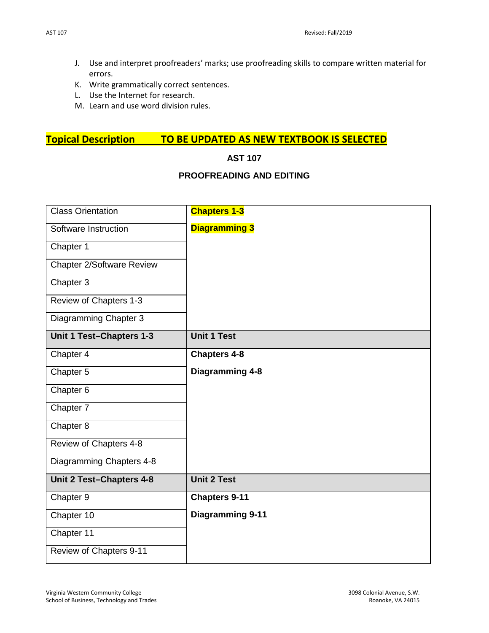- J. Use and interpret proofreaders' marks; use proofreading skills to compare written material for errors.
- K. Write grammatically correct sentences.
- L. Use the Internet for research.
- M. Learn and use word division rules.

# **Topical Description TO BE UPDATED AS NEW TEXTBOOK IS SELECTED**

## **AST 107**

### **PROOFREADING AND EDITING**

| <b>Class Orientation</b>         | <b>Chapters 1-3</b>    |
|----------------------------------|------------------------|
| Software Instruction             | <b>Diagramming 3</b>   |
| Chapter 1                        |                        |
| <b>Chapter 2/Software Review</b> |                        |
| Chapter 3                        |                        |
| Review of Chapters 1-3           |                        |
| Diagramming Chapter 3            |                        |
| Unit 1 Test-Chapters 1-3         | <b>Unit 1 Test</b>     |
| Chapter 4                        | <b>Chapters 4-8</b>    |
| Chapter 5                        | <b>Diagramming 4-8</b> |
| Chapter 6                        |                        |
| Chapter 7                        |                        |
| Chapter 8                        |                        |
| Review of Chapters 4-8           |                        |
| Diagramming Chapters 4-8         |                        |
| Unit 2 Test-Chapters 4-8         | <b>Unit 2 Test</b>     |
| Chapter 9                        | <b>Chapters 9-11</b>   |
| Chapter 10                       | Diagramming 9-11       |
| Chapter 11                       |                        |
| Review of Chapters 9-11          |                        |